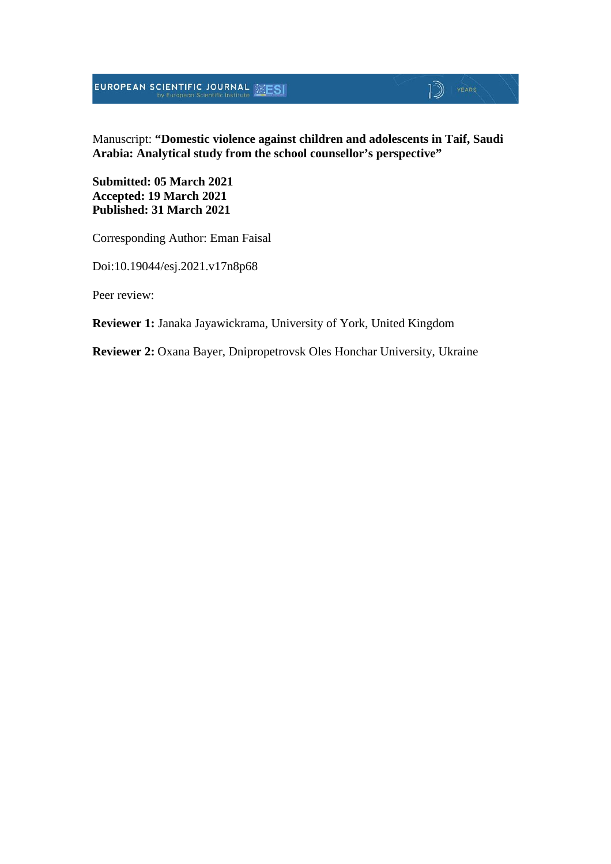**EUROPEAN SCIENTIFIC JOURNAL SESI** 

# $\mathbb{D}$  YEARS

Manuscript: **"Domestic violence against children and adolescents in Taif, Saudi Arabia: Analytical study from the school counsellor's perspective"**

**Submitted: 05 March 2021 Accepted: 19 March 2021 Published: 31 March 2021**

Corresponding Author: Eman Faisal

Doi:10.19044/esj.2021.v17n8p68

Peer review:

**Reviewer 1:** Janaka Jayawickrama, University of York, United Kingdom

**Reviewer 2:** Oxana Bayer, Dnipropetrovsk Oles Honchar University, Ukraine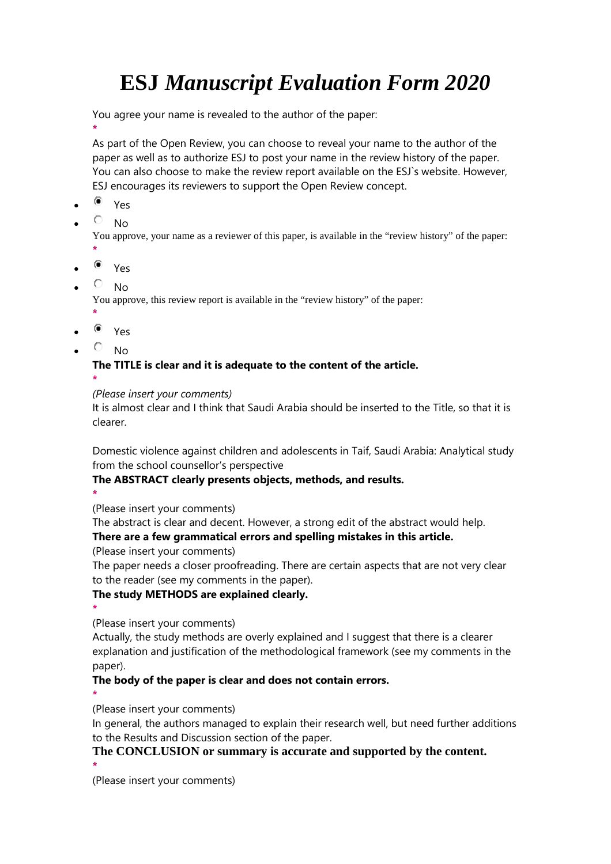# **ESJ** *Manuscript Evaluation Form 2020*

You agree your name is revealed to the author of the paper:

**\*** As part of the Open Review, you can choose to reveal your name to the author of the paper as well as to authorize ESJ to post your name in the review history of the paper. You can also choose to make the review report available on the ESJ`s website. However, ESJ encourages its reviewers to support the Open Review concept.

- $\bullet$  Yes
- $\overline{O}$  No

You approve, your name as a reviewer of this paper, is available in the "review history" of the paper:

- **\***
- $\bullet$  Yes
- $\overline{P}$  No

You approve, this review report is available in the "review history" of the paper:

- **\***  $^{\circ}$  Yes
- $\overline{\circ}$  No

**The TITLE is clear and it is adequate to the content of the article. \***

#### *(Please insert your comments)*

It is almost clear and I think that Saudi Arabia should be inserted to the Title, so that it is clearer.

Domestic violence against children and adolescents in Taif, Saudi Arabia: Analytical study from the school counsellor's perspective

### **The ABSTRACT clearly presents objects, methods, and results.**

**\*** (Please insert your comments)

The abstract is clear and decent. However, a strong edit of the abstract would help.

## **There are a few grammatical errors and spelling mistakes in this article.**

(Please insert your comments)

The paper needs a closer proofreading. There are certain aspects that are not very clear to the reader (see my comments in the paper).

### **The study METHODS are explained clearly.**

**\*** (Please insert your comments)

Actually, the study methods are overly explained and I suggest that there is a clearer explanation and justification of the methodological framework (see my comments in the paper).

## **The body of the paper is clear and does not contain errors.**

**\***

(Please insert your comments)

In general, the authors managed to explain their research well, but need further additions to the Results and Discussion section of the paper.

# **The CONCLUSION or summary is accurate and supported by the content.**

**\*** (Please insert your comments)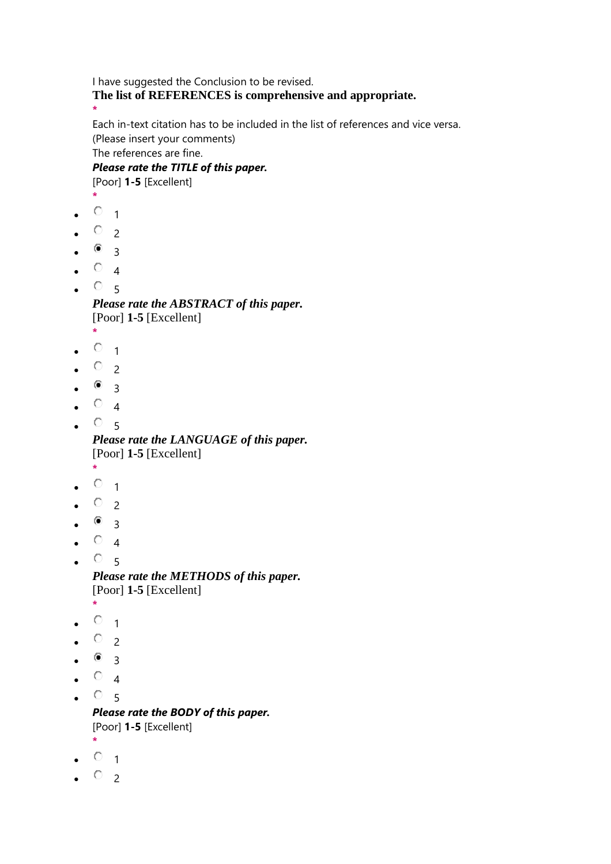I have suggested the Conclusion to be revised. **The list of REFERENCES is comprehensive and appropriate. \***

Each in-text citation has to be included in the list of references and vice versa. (Please insert your comments)

The references are fine.

*Please rate the TITLE of this paper.* [Poor] **1-5** [Excellent]

- **\***
- $\circ$  1
- $O_{2}$
- $^{\circ}$  3
- $\circ$  4
- $\circ$  5

*Please rate the ABSTRACT of this paper.* [Poor] **1-5** [Excellent] **\***

- 
- $\circ$  1
- $\circ$  2
- $^{\circ}$  3
- $\circ$  4
- $\circ$  5

*Please rate the LANGUAGE of this paper.* [Poor] **1-5** [Excellent]

- **\***
- $\circ$  1
- $\circ$  2
- $\bullet$  3
- $\circ$  4
- $^{\circ}$  5 *Please rate the METHODS of this paper.*

```
[Poor] 1-5 [Excellent]
*
```
- $\circ$  1
- $O_{2}$
- 
- $^{\circ}$  3
- $\circ$  4
- $^{\circ}$  5 *Please rate the BODY of this paper.*

[Poor] **1-5** [Excellent] **\***

- $\circ$  1
- $\circ$  2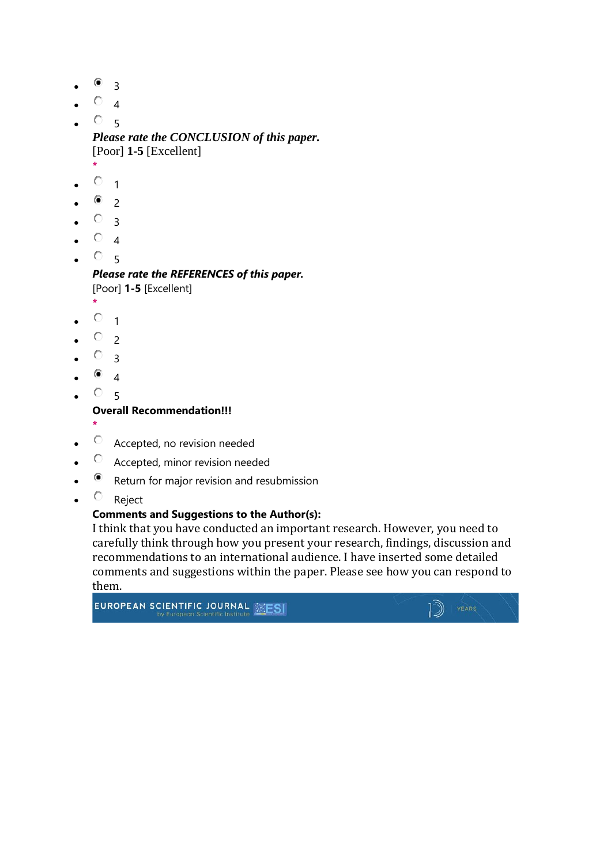- 3
- $\bullet$  4
- $O_{-5}$

*Please rate the CONCLUSION of this paper.* [Poor] **1-5** [Excellent]

- **\***  $\circ$  1
- $\bullet$  2
- $\circ$  3
- $\circ$  4
- $O_{-5}$

*Please rate the REFERENCES of this paper.* [Poor] **1-5** [Excellent]

- **\***  $O_{-1}$
- $\circ$  2
- $\circ$  3
- 
- $^{\circ}$  4
- $^{\circ}$  5

**Overall Recommendation!!!**

- **\***
- $\circ$  Accepted, no revision needed
- Accepted, minor revision needed
- Return for major revision and resubmission
- $\bullet$   $\circ$  Reject

### **Comments and Suggestions to the Author(s):**

I think that you have conducted an important research. However, you need to carefully think through how you present your research, findings, discussion and recommendations to an international audience. I have inserted some detailed comments and suggestions within the paper. Please see how you can respond to

EUROPEAN SCIENTIFIC JOURNAL WEST

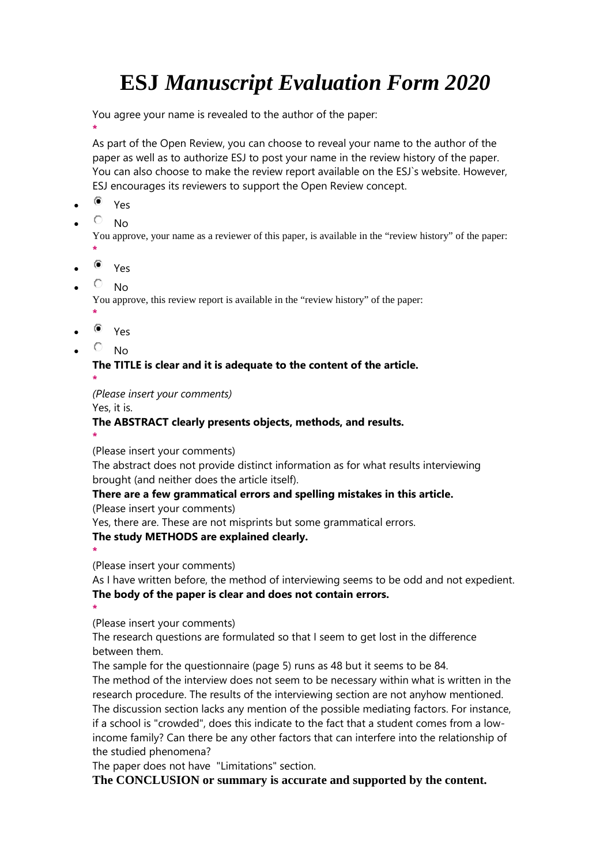# **ESJ** *Manuscript Evaluation Form 2020*

You agree your name is revealed to the author of the paper:

**\*** As part of the Open Review, you can choose to reveal your name to the author of the paper as well as to authorize ESJ to post your name in the review history of the paper. You can also choose to make the review report available on the ESJ`s website. However, ESJ encourages its reviewers to support the Open Review concept.

- $\bullet$  Yes
- $\overline{O}$  No

You approve, your name as a reviewer of this paper, is available in the "review history" of the paper:

- **\***
- $\bullet$  Yes
- $\overline{P}$  No

You approve, this review report is available in the "review history" of the paper:

- **\***  $^{\circ}$  Yes
- $\overline{\circ}$  No

# **The TITLE is clear and it is adequate to the content of the article. \***

*(Please insert your comments)*

Yes, it is.

# **The ABSTRACT clearly presents objects, methods, and results.**

**\*** (Please insert your comments)

The abstract does not provide distinct information as for what results interviewing brought (and neither does the article itself).

### **There are a few grammatical errors and spelling mistakes in this article.**

(Please insert your comments)

Yes, there are. These are not misprints but some grammatical errors.

### **The study METHODS are explained clearly.**

**\*** (Please insert your comments)

As I have written before, the method of interviewing seems to be odd and not expedient. **The body of the paper is clear and does not contain errors.**

**\*** (Please insert your comments)

The research questions are formulated so that I seem to get lost in the difference between them.

The sample for the questionnaire (page 5) runs as 48 but it seems to be 84.

The method of the interview does not seem to be necessary within what is written in the research procedure. The results of the interviewing section are not anyhow mentioned. The discussion section lacks any mention of the possible mediating factors. For instance, if a school is "crowded", does this indicate to the fact that a student comes from a lowincome family? Can there be any other factors that can interfere into the relationship of the studied phenomena?

The paper does not have "Limitations" section.

**The CONCLUSION or summary is accurate and supported by the content.**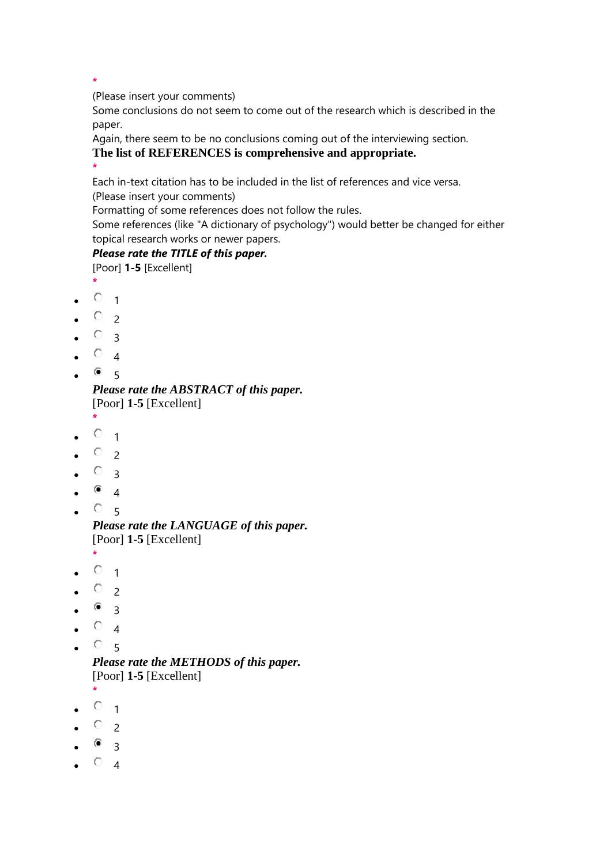**\***

(Please insert your comments)

Some conclusions do not seem to come out of the research which is described in the paper.

Again, there seem to be no conclusions coming out of the interviewing section. **The list of REFERENCES is comprehensive and appropriate.**

**\***

Each in-text citation has to be included in the list of references and vice versa.

(Please insert your comments)

Formatting of some references does not follow the rules.

Some references (like "A dictionary of psychology") would better be changed for either topical research works or newer papers.

### *Please rate the TITLE of this paper.*

[Poor] **1-5** [Excellent]

- **\***  $\circ$  1
- $\circ$  2
- $\circ$  3
- $\circ$  4
- $^{\circ}$  5

*Please rate the ABSTRACT of this paper.* [Poor] **1-5** [Excellent]

- **\***
- $\circ$  1
- $\circ$  2
- $\circ$  3
- $\bullet$  4
- $^{\circ}$  5

*Please rate the LANGUAGE of this paper.* [Poor] **1-5** [Excellent]

- **\***  $O_{1}$
- $\circ$  2
- 
- $^{\circ}$  3
- $\circ$  4
- $O_{5}$

*Please rate the METHODS of this paper.* [Poor] **1-5** [Excellent]

- **\***
- $\circ$  1
- $\circ$  2
- $\bullet$  3
- $\circ$  4